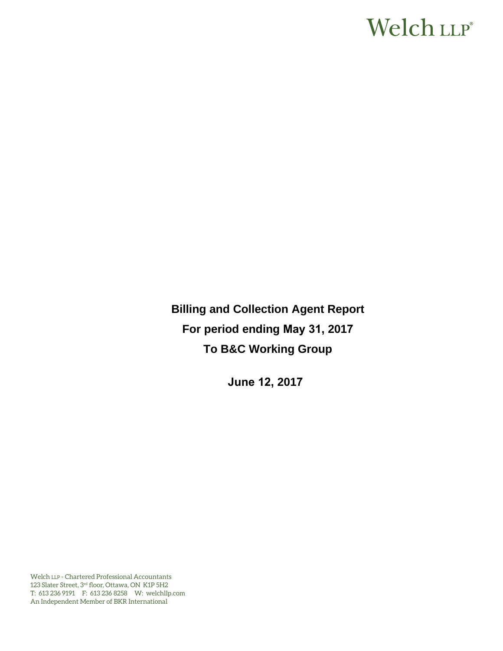# Welch LLP®

**Billing and Collection Agent Report For period ending May 31, 2017 To B&C Working Group** 

**June 12, 2017**

Welch LLP - Chartered Professional Accountants 123 Slater Street, 3rd floor, Ottawa, ON K1P 5H2 T: 613 236 9191 F: 613 236 8258 W: welchllp.com An Independent Member of BKR International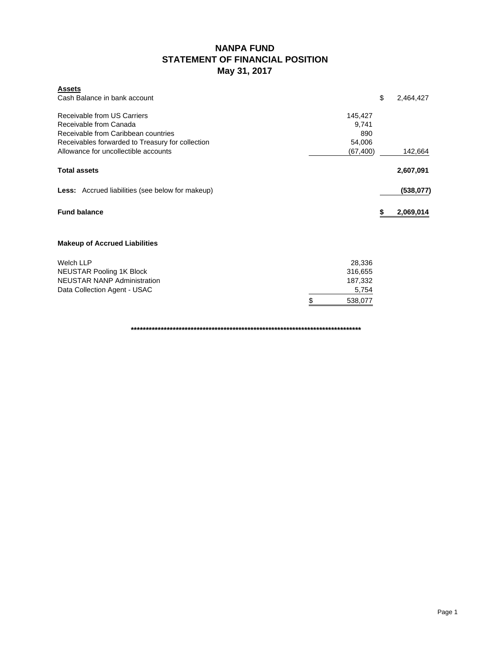# **NANPA FUND STATEMENT OF FINANCIAL POSITION May 31, 2017**

| <b>Assets</b><br>Cash Balance in bank account                                                                                                                                            |                                                  | \$<br>2,464,427 |
|------------------------------------------------------------------------------------------------------------------------------------------------------------------------------------------|--------------------------------------------------|-----------------|
| Receivable from US Carriers<br>Receivable from Canada<br>Receivable from Caribbean countries<br>Receivables forwarded to Treasury for collection<br>Allowance for uncollectible accounts | 145,427<br>9,741<br>890<br>54,006<br>(67, 400)   | 142,664         |
| <b>Total assets</b>                                                                                                                                                                      |                                                  | 2,607,091       |
| <b>Less:</b> Accrued liabilities (see below for makeup)                                                                                                                                  |                                                  | (538,077)       |
| <b>Fund balance</b>                                                                                                                                                                      |                                                  | 2,069,014       |
| <b>Makeup of Accrued Liabilities</b>                                                                                                                                                     |                                                  |                 |
| <b>Welch LLP</b><br><b>NEUSTAR Pooling 1K Block</b><br><b>NEUSTAR NANP Administration</b><br>Data Collection Agent - USAC                                                                | 28,336<br>316,655<br>187,332<br>5,754<br>538,077 |                 |

**\*\*\*\*\*\*\*\*\*\*\*\*\*\*\*\*\*\*\*\*\*\*\*\*\*\*\*\*\*\*\*\*\*\*\*\*\*\*\*\*\*\*\*\*\*\*\*\*\*\*\*\*\*\*\*\*\*\*\*\*\*\*\*\*\*\*\*\*\*\*\*\*\*\*\*\*\***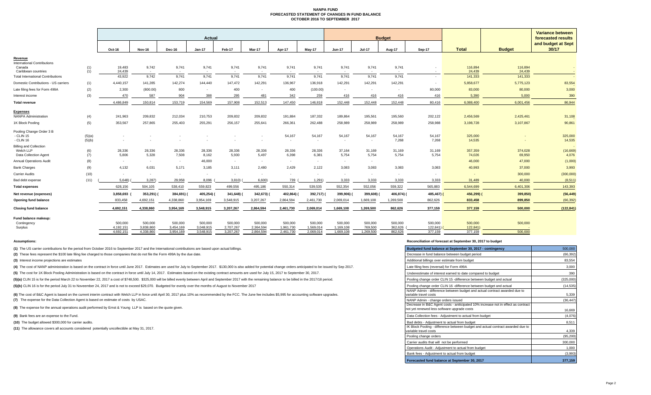#### **NANPA FUND FORECASTED STATEMENT OF CHANGES IN FUND BALANCEOCTOBER 2016 TO SEPTEMBER 2017**

|                                                |            | Actual    |               |           |           |           |            |            |           | <b>Budget</b> |               |                          |                          |              |               | <b>Variance between</b><br>forecasted results |
|------------------------------------------------|------------|-----------|---------------|-----------|-----------|-----------|------------|------------|-----------|---------------|---------------|--------------------------|--------------------------|--------------|---------------|-----------------------------------------------|
|                                                |            | Oct-16    | <b>Nov-16</b> | Dec-16    | Jan-17    | Feb-17    | Mar-17     | Apr-17     | May-17    | <b>Jun-17</b> | <b>Jul-17</b> | Aug-17                   | Sep-17                   | <b>Total</b> | <b>Budget</b> | and budget at Sept<br>30/17                   |
| Revenue                                        |            |           |               |           |           |           |            |            |           |               |               |                          |                          |              |               |                                               |
| <b>International Contributions</b><br>Canada   |            | 19,483    | 9,742         | 9,741     | 9,741     | 9,741     | 9,741      | 9,741      | 9,741     | 9,741         | 9,741         | 9,741                    |                          | 116,894      | 116,894       |                                               |
| Caribbean countries                            | (1)<br>(1) | 24,439    | $\sim$        | $\sim$    |           |           | $\sim$     | $\sim$     | $\sim$    | $\sim$        |               | $\overline{\phantom{a}}$ | $\overline{\phantom{a}}$ | 24.439       | 24.439        |                                               |
| <b>Total International Contributions</b>       |            | 43,922    | 9,742         | 9,741     | 9.741     | 9.741     | 9,741      | 9,741      | 9,741     | 9,741         | 9,741         | 9,741                    |                          | 141,333      | 141,333       |                                               |
| Domestic Contributions - US carriers           | (1)        | 4,440,157 | 141,285       | 142,274   | 144,440   | 147,472   | 142,291    | 136,967    | 136,918   | 142,291       | 142,291       | 142,291                  |                          | 5,858,677    | 5,775,123     | 83,554                                        |
| Late filing fees for Form 499A                 | (2)        | 2,300     | (800.00)      | 800       |           | 400       |            | 400        | (100.00)  | $\sim$        | $\sim$        | $\sim$                   | 80,000                   | 83,000       | 80,000        | 3,000                                         |
| Interest income                                | (3)        | 470       | 587           | 904       | 388       | 295       | 481        | 342        | 259       | 416           | 416           | 416                      | 416                      | 5,390        | 5,000         | 390                                           |
| <b>Total revenue</b>                           |            | 4,486,849 | 150,814       | 153,719   | 154,569   | 157,908   | 152,513    | 147,450    | 146,818   | 152,448       | 152,448       | 152,448                  | 80,416                   | 6,088,400    | 6,001,456     | 86,944                                        |
|                                                |            |           |               |           |           |           |            |            |           |               |               |                          |                          |              |               |                                               |
| <b>Expenses</b><br><b>NANPA Administration</b> | (4)        | 241,963   | 209,832       | 212,034   | 210,753   | 209,832   | 209,832    | 191,884    | 187,332   | 189,864       | 195,561       | 195,560                  | 202,122                  | 2,456,569    | 2,425,461     | 31,108                                        |
| 1K Block Pooling                               | (5)        | 353,567   | 257,865       | 255,403   | 255,291   | 256,157   | 255,641    | 266,361    | 262,488   | 258,989       | 258,989       | 258,989                  | 258,988                  | 3,198,728    | 3,107,867     | 90,861                                        |
| Pooling Change Order 3 B                       |            |           |               |           |           |           |            |            |           |               |               |                          |                          |              |               |                                               |
| - CLIN 15                                      | (5)(a)     | ٠         |               |           |           |           |            | 54,167     | 54,167    | 54,167        | 54,167        | 54,167                   | 54,167                   | 325,000      |               | 325,000                                       |
| - CLIN 16                                      | (5)(b)     |           |               |           |           |           |            | $\sim$     | $\sim$    | $\mathbf{r}$  | $\sim$        | 7,268                    | 7,268                    | 14,535       |               | 14,535                                        |
| <b>Billing and Collection</b>                  |            | 28,336    | 28,336        | 28,336    | 28,336    | 28,336    | 28,336     | 28,336     | 28,336    | 37,164        | 31,169        | 31,169                   | 31,169                   | 357,359      | 374,028       | (16, 669)                                     |
| Welch LLP<br>Data Collection Agent             | (6)<br>(7) | 5,806     | 5,328         | 7,508     | 8,162     | 5,930     | 5,497      | 6,398      | 6,381     | 5,754         | 5,754         | 5,754                    | 5,754                    | 74,026       | 69,950        | 4,076                                         |
| <b>Annual Operations Audit</b>                 | (8)        | $\sim$    | $\sim$        | $\sim$    | 46,000    | $\sim$    | $\sim$     | $\sim$     | $\sim$    | $\sim$        | $\sim$        |                          |                          | 46,000       | 47,000        | (1,000)                                       |
| <b>Bank Charges</b>                            | (9)        | 4,132     | 6,031         | 5,171     | 3,185     | 3,111     | 2,480      | 2,429      | 2,122     | 3,083         | 3,083         | 3,083                    | 3,083                    | 40,993       | 37,000        | 3,993                                         |
| <b>Carrier Audits</b>                          | (10)       | $\sim$    | $\sim$        | $\sim$    | $\sim$    | $\sim$    |            | $\sim$     | $\sim$    | $\sim$        | $\sim$        | $\sim$                   |                          | . .          | 300,000       | (300,000)                                     |
| Bad debt expense                               | (11)       | 5,648)    | 3,287         | 29,958    | 8,096     | 3,810     | 6,600      | 739        | 1,291     | 3,333         | 3,333         | 3,333                    | 3,333                    | 31,489       | 40,000        | (8, 511)                                      |
| <b>Total expenses</b>                          |            | 628,156   | 504,105       | 538,410   | 559,823   | 499,556   | 495,186    | 550,314    | 539,535   | 552,354       | 552,056       | 559,322                  | 565,883                  | 6,544,699    | 6,401,306     | 143,393                                       |
| Net revenue (expenses)                         |            | 3,858,693 | 353,291)      | 384,691)  | 405,254)  | 341,648)  | 342,673) ( | 402,864) ( | 392,717)  | 399,906)      | 399,608)      | 406,874)                 | 485,467)                 | 456,299)     | 399,850)      | (56, 449)                                     |
| Opening fund balance                           |            | 833,458   | 4,692,151     | 4,338,860 | 3,954,169 | 3,548,915 | 3,207,267  | 2,864,594  | 2,461,730 | 2,069,014     | 1,669,108     | 1,269,500                | 862,626                  | 833,458      | 899,850       | (66, 392)                                     |
| <b>Closing fund balance</b>                    |            | 4,692,151 | 4,338,860     | 3,954,169 | 3,548,915 | 3,207,267 | 2,864,594  | 2,461,730  | 2,069,014 | 1,669,108     | 1,269,500     | 862,626                  | 377,159                  | 377,159      | 500,000       | (122, 841)                                    |
| Fund balance makeup:                           |            |           |               |           |           |           |            |            |           |               |               |                          |                          |              |               |                                               |
| Contingency                                    |            | 500,000   | 500,000       | 500,000   | 500,000   | 500,000   | 500,000    | 500,000    | 500,000   | 500,000       | 500,000       | 500,000                  | 500,000                  | 500,000      | 500,000       |                                               |
| Surplus                                        |            | 4,192,151 | 3.838.860     | 3.454.169 | 3.048.915 | 2,707,267 | 2.364.594  | 1.961.730  | 1.569.014 | 1,169,108     | 769,500       | 362.626                  | $122,841$ )              | 122,841)     |               |                                               |

4,692,151 4,338,860 3,954,169 3,548,915 3,207,267 2,864,594 2,461,730 2,069,014 1,669,108 1,269,500 862,626 377,159 377,159 500,000

**(1)** The US carrier contributions for the period from October 2016 to September 2017 and the International contributions are based upon actual billings.

(2) These fees represent the \$100 late filing fee charged to those companies that do not file the Form 499A by the due date.

**(3)** Interest income projections are estimates

(4) The cost of NANP administration is based on the contract in force until June 2017. Estimates are used for July to September 2017. \$130,000 is also added for potential change orders anticipated to be issued by Sep 2017.

(5) The cost for 1K Block Pooling Administration is based on the contract in force until July 14, 2017. Estimates based on the existing contract amounts are used for July 15, 2017 to September 30, 2017.

(5)(a) CLIN 15 is for the period March 22 to November 22, 2017 a cost of \$748,500. \$325,000 will be billed evenly between April and September 2017 with the remaining balance to be billed in the 2017/18 period.

(5)(b) CLIN 16 is for the period July 31 to Noveember 24, 2017 and is not to exceed \$29,070. Budgeted for evenly over the months of August to November 2017

**(7)** The expense for the Data Collection Agent is based on estimate of costs by USAC. (6) The cost of B&C Agent is based on the current interim contract with Welch LLP in force until April 30, 2017 plus 10% as recommended by the FCC. The June fee includes \$5,995 for accounting software upgrades.

**(8)** The expense for the annual operations audit performed by Ernst & Young LLP is based on the quote given.

**(9)** Bank fees are an expense to the Fund.

**(10)** The budget allowed \$300,000 for carrier audits.

**(11)** The allowance covers all accounts considered potentially uncollectible at May 31, 2017.

#### **Assumptions: Reconciliation of forecast at September 30, 2017 to budget**

| Budgeted fund balance at September 30, 2017 - contingency                                                                        | 500,000   |
|----------------------------------------------------------------------------------------------------------------------------------|-----------|
| Decrease in fund balance between budget period                                                                                   | (66, 392) |
| Additional billings over estimate from budget                                                                                    | 83,554    |
| Late filing fees (reversal) for Form 499A                                                                                        | 3,000     |
| Underestimate of interest earned to date compared to budget                                                                      | 390       |
| Pooling change order CLIN 15 -difference between budget and actual                                                               | (325,000) |
| Pooling change order CLIN 16 -difference between budget and actual                                                               | (14, 535) |
| NANP Admin - difference between budget and actual contract awarded due to<br>variable travel costs                               | 5,339     |
| NANP Admin - change orders issued                                                                                                | (36, 447) |
| Decrease in B&C Agent costs - aniticipated 10% increase not in effect as contract<br>not yet renewed less software upgrade costs | 16,669    |
| Data Collection fees - Adjustment to actual from budget                                                                          | (4,076)   |
| Bad debts - Adjustment to actual from budget                                                                                     | 8,511     |
| IK Block Pooling - difference between budget and actual contract awarded due to<br>variable travel costs                         | 4,339     |
| Pooling change orders                                                                                                            | (95, 200) |
| Carrier audits that will not be performed                                                                                        | 300,000   |
| Operations Audit - Adjustment to actual from budget                                                                              | 1.000     |
| Bank fees - Adjustment to actual from budget                                                                                     | (3,993)   |
| Forecasted fund balance at September 30, 2017                                                                                    | 377,159   |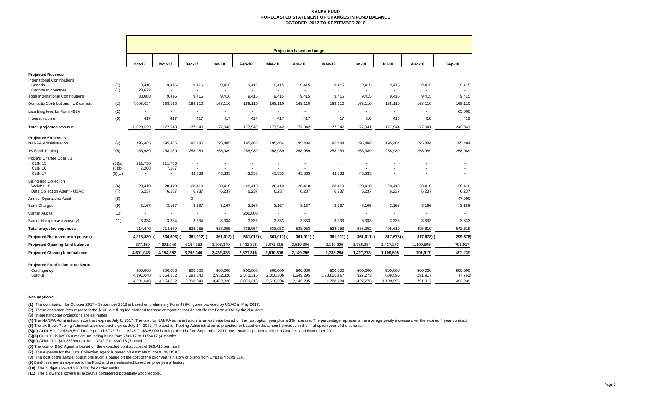#### **NANPA FUNDFORECASTED STATEMENT OF CHANGES IN FUND BALANCE OCTOBER 2017 TO SEPTEMBER 2018**

|                                          |                  | <b>Projection based on budget</b> |                                   |                                            |                          |                                            |                                            |                                   |                                   |                                   |                                   |                         |                          |
|------------------------------------------|------------------|-----------------------------------|-----------------------------------|--------------------------------------------|--------------------------|--------------------------------------------|--------------------------------------------|-----------------------------------|-----------------------------------|-----------------------------------|-----------------------------------|-------------------------|--------------------------|
|                                          |                  | Oct-17                            | <b>Nov-17</b>                     | <b>Dec-17</b>                              | Jan-18                   | Feb-18                                     | Mar-18                                     | Apr-18                            | May-18                            | <b>Jun-18</b>                     | <b>Jul-18</b>                     | Aug-18                  | Sep-18                   |
| <b>Projected Revenue</b>                 |                  |                                   |                                   |                                            |                          |                                            |                                            |                                   |                                   |                                   |                                   |                         |                          |
| <b>International Contributions</b>       |                  |                                   |                                   |                                            |                          |                                            |                                            |                                   |                                   |                                   |                                   |                         |                          |
| Canada<br>Caribbean countries            | (1)<br>(1)       | 9,416<br>23,672                   | 9,416<br>$\sim$                   | 9,416<br>$\overline{\phantom{a}}$          | 9,416<br>$\sim$          | 9,415<br>$\overline{\phantom{a}}$          | 9,415<br>$\overline{\phantom{a}}$          | 9,415<br>$\overline{\phantom{a}}$ | 9,415<br>$\overline{\phantom{a}}$ | 9,415<br>$\overline{\phantom{a}}$ | 9,415<br>$\overline{\phantom{a}}$ | 9,415<br>$\overline{a}$ | 9,415<br>$\sim$          |
| <b>Total International Contributions</b> |                  | 33,088                            | 9,416                             | 9,416                                      | 9,416                    | 9,415                                      | 9,415                                      | 9,415                             | 9,415                             | 9,415                             | 9,415                             | 9,415                   | 9,415                    |
| Domestic Contributions - US carriers     | (1)              | 4,995,024                         | 168,110                           | 168,110                                    | 168,110                  | 168,110                                    | 168,110                                    | 168,110                           | 168,110                           | 168,110                           | 168,110                           | 168,110                 | 168,110                  |
| Late filing fees for Form 499A           | (2)              | $\overline{\phantom{a}}$          | $\overline{\phantom{a}}$          | $\overline{\phantom{a}}$                   | $\overline{\phantom{a}}$ | $\overline{\phantom{a}}$                   | $\overline{\phantom{a}}$                   |                                   | $\overline{\phantom{a}}$          | $\overline{\phantom{a}}$          | $\overline{\phantom{a}}$          | $\overline{a}$          | 65,000                   |
| Interest income                          | (3)              | 417                               | 417                               | 417                                        | 417                      | 417                                        | 417                                        | 417                               | 417                               | 416                               | 416                               | 416                     | 416                      |
| Total projected revenue                  |                  | 5,028,529                         | 177,943                           | 177,943                                    | 177,943                  | 177,942                                    | 177,942                                    | 177,942                           | 177,942                           | 177,941                           | 177,941                           | 177,941                 | 242,941                  |
| <b>Projected Expenses</b>                |                  |                                   |                                   |                                            |                          |                                            |                                            |                                   |                                   |                                   |                                   |                         |                          |
| <b>NANPA Administration</b>              | (4)              | 195,485                           | 195,485                           | 195,485                                    | 195,485                  | 195,485                                    | 195,484                                    | 195,484                           | 195,484                           | 195,484                           | 195,484                           | 195,484                 | 195,484                  |
| 1K Block Pooling                         | (5)              | 258,989                           | 258,989                           | 258,989                                    | 258,989                  | 258,989                                    | 258,989                                    | 258,989                           | 258,989                           | 258,989                           | 258,989                           | 258,989                 | 258,989                  |
| Pooling Change Oder 3B                   |                  |                                   |                                   |                                            |                          |                                            |                                            |                                   |                                   |                                   |                                   |                         |                          |
| - CLIN 15                                | (5)(a)           | 211,750                           | 211,750                           | $\overline{\phantom{a}}$<br>$\overline{a}$ | $\overline{\phantom{a}}$ | $\overline{\phantom{a}}$<br>$\overline{a}$ | $\overline{\phantom{a}}$<br>$\overline{a}$ |                                   | $\overline{\phantom{a}}$          |                                   |                                   |                         |                          |
| - CLIN 16<br>- CLIN 17                   | (5)(b)<br>(5)(c) | 7,268<br>$\overline{\phantom{a}}$ | 7,267<br>$\overline{\phantom{a}}$ | 43,333                                     | 43,333                   | 43,333                                     | 43,333                                     | 43,333                            | 43,333                            | 43,333                            |                                   |                         |                          |
| <b>Billing and Collection</b>            |                  |                                   |                                   |                                            |                          |                                            |                                            |                                   |                                   |                                   |                                   |                         |                          |
| Welch LLP                                | (6)              | 28,410                            | 28,410                            | 28,410                                     | 28,410                   | 28,410                                     | 28,410                                     | 28,410                            | 28,410                            | 28,410                            | 28,410                            | 28,410                  | 28,410                   |
| Data Collection Agent - USAC             | (7)              | 6,237                             | 6,237                             | 6,237                                      | 6,237                    | 6,237                                      | 6,237                                      | 6,237                             | 6,237                             | 6,237                             | 6,237                             | 6,237                   | 6,237                    |
| <b>Annual Operations Audit</b>           | (8)              | $\sim$                            | $\overline{\phantom{a}}$          | $\Omega$                                   | $\sim$                   | $\overline{\phantom{a}}$                   | $\overline{\phantom{a}}$                   | $\overline{\phantom{a}}$          | $\overline{\phantom{a}}$          | $\sim$                            | $\sim$                            | $\blacksquare$          | 47,000                   |
| <b>Bank Charges</b>                      | (9)              | 3.167                             | 3.167                             | 3.167                                      | 3.167                    | 3.167                                      | 3.167                                      | 3.167                             | 3,167                             | 3.166                             | 3.166                             | 3.166                   | 3,166                    |
| <b>Carrier Audits</b>                    | (10)             | $\overline{a}$                    | $\overline{\phantom{a}}$          | $\blacksquare$                             | $\overline{a}$           | 200,000                                    | $\overline{\phantom{a}}$                   | $\overline{\phantom{a}}$          | $\overline{\phantom{a}}$          | $\overline{a}$                    | $\overline{\phantom{a}}$          | $\overline{a}$          | $\overline{\phantom{a}}$ |
| Bad debt expense (recovery)              | (11)             | 3,334                             | 3,334                             | 3,334                                      | 3,334                    | 3,333                                      | 3,333                                      | 3,333                             | 3,333                             | 3,333                             | 3,333                             | 3,333                   | 3,333                    |
| <b>Total projected expenses</b>          |                  | 714,640                           | 714,639                           | 538,955                                    | 538,955                  | 738,954                                    | 538,953                                    | 538,953                           | 538,953                           | 538,952                           | 495,619                           | 495,619                 | 542,619                  |
| Projected Net revenue (expenses)         |                  | 4,313,889                         | 536,696)                          | 361,012) (                                 | 361,012) (               | 561,012)                                   | 361,011)                                   | 361,011) (                        | 361,011)                          | 361,011) (                        | 317,678) (                        | 317,678) (              | 299,678)                 |
| <b>Projected Opening fund balance</b>    |                  | 377,159                           | 4,691,048                         | 4,154,352                                  | 3,793,340                | 3,432,328                                  | 2,871,316                                  | 2,510,306                         | 2,149,295                         | 1,788,284                         | 1,427,273                         | 1,109,595               | 791,917                  |
| <b>Projected Closing fund balance</b>    |                  | 4,691,048                         | 4,154,352                         | 3,793,340                                  | 3,432,328                | 2,871,316                                  | 2,510,306                                  | 2,149,295                         | 1,788,284                         | 1,427,273                         | 1,109,595                         | 791,917                 | 492,239                  |
| Projected Fund balance makeup:           |                  |                                   |                                   |                                            |                          |                                            |                                            |                                   |                                   |                                   |                                   |                         |                          |
| Contingency                              |                  | 500.000                           | 500.000                           | 500,000                                    | 500,000                  | 500.000                                    | 500.000                                    | 500.000                           | 500,000                           | 500,000                           | 500,000                           | 500,000                 | 500,000                  |
| Surplus                                  |                  | 4.191.048                         | 3,654,352                         | 3,293,340                                  | 2,932,328                | 2,371,316                                  | 2,010,306                                  | 1,649,295                         | 1,288,283.67                      | 927,273                           | 609,595                           | 291,917                 | (7,761)                  |
|                                          |                  | 4,691,048                         | 4,154,352                         | 3,793,340                                  | 3,432,328                | 2,871,316                                  | 2,510,306                                  | 2,149,295                         | 1,788,284                         | 1,427,273                         | 1,109,595                         | 791,917                 | 492,239                  |

#### **Assumptions:**

**(1)** The contribution for October 2017 - September 2018 is based on preliminary Form 499A figures provided by USAC in May 2017.

**(2)** These estimated fees represent the \$100 late filing fee charged to those companies that do not file the Form 499A by the due date.

**(3)** Interest income projections are estimates

(4) The NANPA Administration contract expires July 8, 2017. The cost for NANPA administration is an estimate based on the last option year plus a 3% increase. The percentage represents the average yearly increase over the **(5)** The 1K Block Pooling Administration contract expires July 14, 2017. The cost for Pooling Administration is provided for based on the amount provided in the final option year of the contract.

**(5)(a)** CLIN15 is for \$748,500 for the period 3/22/17 to 11/24/17. \$325,000 is being billed before September 2017, the remaining is being billed in October and November 201

**(5)(b)** CLIN 16 is \$29,070 maximum, being billed from 7/31/17 to 11/24/17 (4 months

**(5)(c)** CLIN 17 is \$43,333/month for 11/24/17 to 6/30/18 (7 months)

**(6)** The cost of B&C Agent is based on the expected contract cost of \$28,410 per month

**(7)** The expense for the Data Collection Agent is based on estimate of costs by USAC.

**(8)** The cost of the annual operations audit is based on the cost of the prior year's history of billing from Ernst & Young LLP.

**(9)** Bank fees are an expense to the Fund and are estimated based on prior years' history.

**(10)** The budget allowed \$200,000 for carrier audits.

**(11)** The allowance covers all accounts considered potentially uncollectible.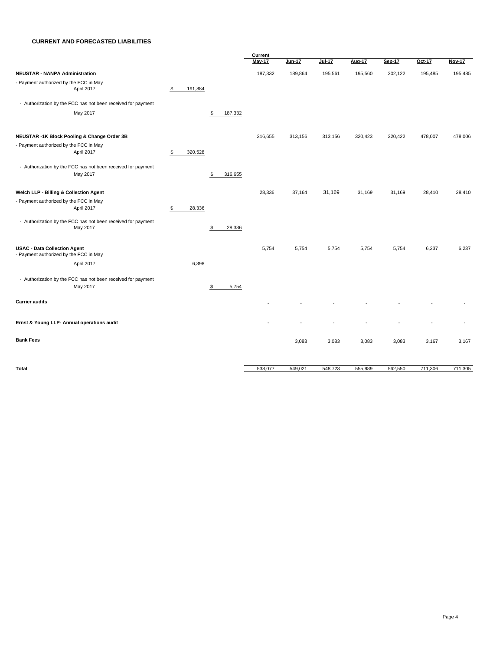#### **CURRENT AND FORECASTED LIABILITIES**

|                                                                               |               |               | Current |               |               |         |         |         |               |
|-------------------------------------------------------------------------------|---------------|---------------|---------|---------------|---------------|---------|---------|---------|---------------|
|                                                                               |               |               | May-17  | <b>Jun-17</b> | <b>Jul-17</b> | Aug-17  | Sep-17  | Oct-17  | <b>Nov-17</b> |
| <b>NEUSTAR - NANPA Administration</b>                                         |               |               | 187,332 | 189,864       | 195,561       | 195,560 | 202,122 | 195,485 | 195,485       |
| - Payment authorized by the FCC in May                                        |               |               |         |               |               |         |         |         |               |
| April 2017                                                                    | 191,884<br>\$ |               |         |               |               |         |         |         |               |
| - Authorization by the FCC has not been received for payment                  |               |               |         |               |               |         |         |         |               |
| May 2017                                                                      |               | 187,332<br>\$ |         |               |               |         |         |         |               |
| NEUSTAR -1K Block Pooling & Change Order 3B                                   |               |               | 316,655 | 313,156       | 313,156       | 320,423 | 320,422 | 478,007 | 478,006       |
| - Payment authorized by the FCC in May                                        |               |               |         |               |               |         |         |         |               |
| April 2017                                                                    | 320,528<br>\$ |               |         |               |               |         |         |         |               |
| - Authorization by the FCC has not been received for payment                  |               |               |         |               |               |         |         |         |               |
| May 2017                                                                      |               | \$<br>316,655 |         |               |               |         |         |         |               |
| Welch LLP - Billing & Collection Agent                                        |               |               | 28,336  | 37,164        | 31,169        | 31,169  | 31,169  | 28,410  | 28,410        |
| - Payment authorized by the FCC in May                                        |               |               |         |               |               |         |         |         |               |
| April 2017                                                                    | \$<br>28,336  |               |         |               |               |         |         |         |               |
| - Authorization by the FCC has not been received for payment                  |               |               |         |               |               |         |         |         |               |
| May 2017                                                                      |               | \$<br>28,336  |         |               |               |         |         |         |               |
| <b>USAC - Data Collection Agent</b><br>- Payment authorized by the FCC in May |               |               | 5,754   | 5,754         | 5,754         | 5,754   | 5,754   | 6,237   | 6,237         |
| April 2017                                                                    |               |               |         |               |               |         |         |         |               |
|                                                                               | 6,398         |               |         |               |               |         |         |         |               |
| - Authorization by the FCC has not been received for payment                  |               |               |         |               |               |         |         |         |               |
| May 2017                                                                      |               | \$<br>5,754   |         |               |               |         |         |         |               |
| <b>Carrier audits</b>                                                         |               |               |         |               |               |         |         |         |               |
| Ernst & Young LLP- Annual operations audit                                    |               |               |         |               |               |         |         |         |               |
| <b>Bank Fees</b>                                                              |               |               |         | 3,083         | 3,083         | 3,083   | 3,083   | 3,167   | 3,167         |
|                                                                               |               |               |         |               |               |         |         |         |               |
| <b>Total</b>                                                                  |               |               | 538,077 | 549,021       | 548,723       | 555,989 | 562,550 | 711,306 | 711,305       |